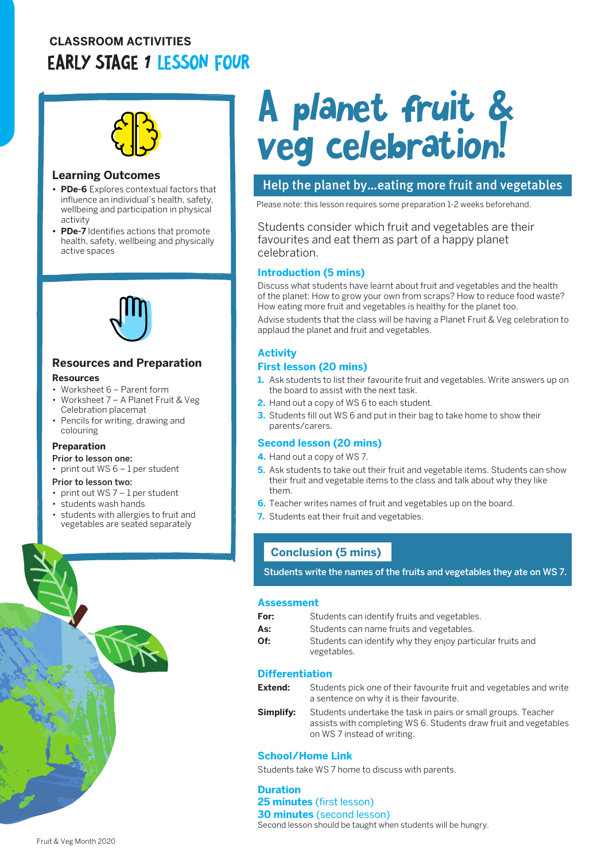### **CLASSROOM ACTIVITIES** EARLY STAGE 1 LESSON FOUR



#### **Learning Outcomes**

- **• PDe-6** Explores contextual factors that influence an individual's health, safety, wellbeing and participation in physical activity
- **• PDe-7** Identifies actions that promote health, safety, wellbeing and physically active spaces



#### **Resources and Preparation**

- **Resources**
- Worksheet 6 Parent form
- Worksheet 7 A Planet Fruit & Veg Celebration placemat
- Pencils for writing, drawing and colouring

#### **Preparation**

#### Prior to lesson one:

- print out WS 6 1 per student
- Prior to lesson two:
- print out  $WS 7 1$  per student • students wash hands
- 
- students with allergies to fruit and vegetables are seated separately

# A planet fruit & veg celebration!

#### Help the planet by…eating more fruit and vegetables

Please note: this lesson requires some preparation 1-2 weeks beforehand.

Students consider which fruit and vegetables are their favourites and eat them as part of a happy planet celebration.

#### **Introduction (5 mins)**

Discuss what students have learnt about fruit and vegetables and the health of the planet: How to grow your own from scraps? How to reduce food waste? How eating more fruit and vegetables is healthy for the planet too.

Advise students that the class will be having a Planet Fruit & Veg celebration to applaud the planet and fruit and vegetables.

#### **Activity**

#### **First lesson (20 mins)**

- **1.** Ask students to list their favourite fruit and vegetables. Write answers up on the board to assist with the next task.
- **2.** Hand out a copy of WS 6 to each student.
- **3.** Students fill out WS 6 and put in their bag to take home to show their parents/carers.

#### **Second lesson (20 mins)**

- **4.** Hand out a copy of WS 7.
- **5.** Ask students to take out their fruit and vegetable items. Students can show their fruit and vegetable items to the class and talk about why they like them.
- **6.** Teacher writes names of fruit and vegetables up on the board.
- **7.** Students eat their fruit and vegetables.

#### **Conclusion (5 mins)**

Students write the names of the fruits and vegetables they ate on WS 7.

#### **Assessment**

| For: | Students can identify fruits and vegetables.                              |
|------|---------------------------------------------------------------------------|
| As:  | Students can name fruits and vegetables.                                  |
| Of:  | Students can identify why they enjoy particular fruits and<br>vegetables. |

#### **Differentiation**

| Extend: | Students pick one of their favourite fruit and vegetables and write |
|---------|---------------------------------------------------------------------|
|         | a sentence on why it is their favourite.                            |

**Simplify:** Students undertake the task in pairs or small groups. Teacher assists with completing WS 6. Students draw fruit and vegetables on WS 7 instead of writing.

#### **School/Home Link**

Students take WS 7 home to discuss with parents.

**Duration 25 minutes** (first lesson) **30 minutes** (second lesson) Second lesson should be taught when students will be hungry.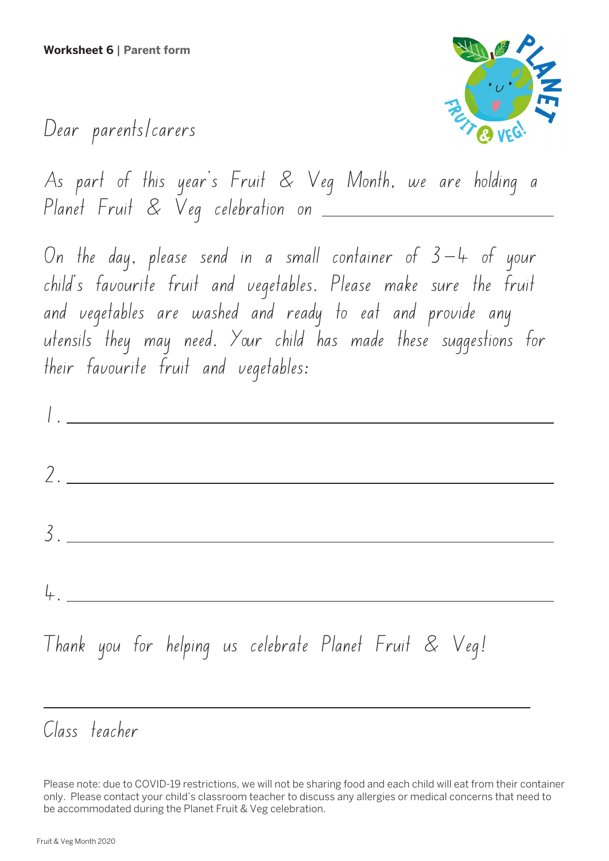

### Dear parents/carers

As part of this year's Fruit & Veg Month, we are holding a Planet Fruit & Veg celebration on

On the day, please send in a small container of  $3-4$  of your child's favourite fruit and vegetables. Please make sure the fruit and vegetables are washed and ready to eat and provide any utensils they may need. Your child has made these suggestions for their favourite fruit and vegetables:

1. <u> 1980 - Johann Barbara, martxa a</u> 2. 3. 4.

## Thank you for helping us celebrate Planet Fruit & Veg!

### Class teacher

Please note: due to COVID-19 restrictions, we will not be sharing food and each child will eat from their container only. Please contact your child's classroom teacher to discuss any allergies or medical concerns that need to be accommodated during the Planet Fruit & Veg celebration.